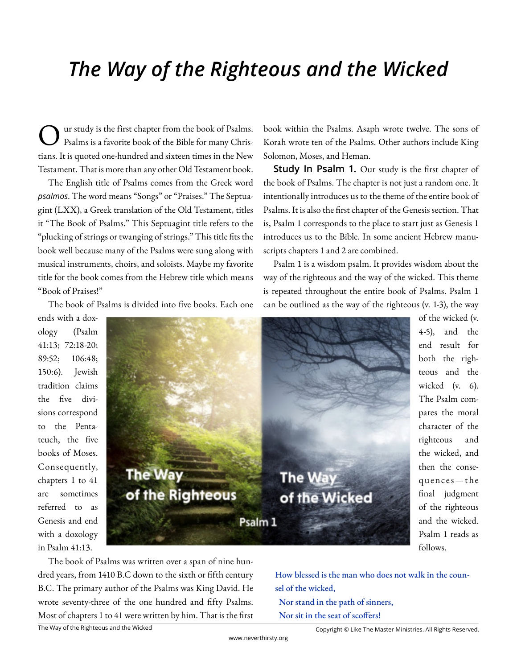# *The Way of the Righteous and the Wicked*

O ur study is the first chapter from the book of Psalms. Psalms is a favorite book of the Bible for many Christians. It is quoted one-hundred and sixteen times in the New Testament. That is more than any other Old Testament book.

The English title of Psalms comes from the Greek word *psalmos*. The word means "Songs" or "Praises." The Septuagint (LXX), a Greek translation of the Old Testament, titles it "The Book of Psalms." This Septuagint title refers to the "plucking of strings or twanging of strings." This title fits the book well because many of the Psalms were sung along with musical instruments, choirs, and soloists. Maybe my favorite title for the book comes from the Hebrew title which means "Book of Praises!"

The book of Psalms is divided into five books. Each one

book within the Psalms. Asaph wrote twelve. The sons of Korah wrote ten of the Psalms. Other authors include King Solomon, Moses, and Heman.

**Study In Psalm 1.** Our study is the first chapter of the book of Psalms. The chapter is not just a random one. It intentionally introduces us to the theme of the entire book of Psalms. It is also the first chapter of the Genesis section. That is, Psalm 1 corresponds to the place to start just as Genesis 1 introduces us to the Bible. In some ancient Hebrew manuscripts chapters 1 and 2 are combined.

Psalm 1 is a wisdom psalm. It provides wisdom about the way of the righteous and the way of the wicked. This theme is repeated throughout the entire book of Psalms. Psalm 1 can be outlined as the way of the righteous (v. 1-3), the way

ends with a doxology (Psalm 41:13; 72:18-20; 89:52; 106:48; 150:6). Jewish tradition claims the five divisions correspond to the Pentateuch, the five books of Moses. Consequently, chapters 1 to 41 are sometimes referred to as Genesis and end with a doxology in Psalm 41:13.



The Way of the Righteous and the Wicked The book of Psalms was written over a span of nine hundred years, from 1410 B.C down to the sixth or fifth century B.C. The primary author of the Psalms was King David. He wrote seventy-three of the one hundred and fifty Psalms. Most of chapters 1 to 41 were written by him. That is the first 4-5), and the end result for both the righteous and the wicked (v. 6). The Psalm compares the moral character of the righteous and the wicked, and then the consequences — the final judgment of the righteous and the wicked. Psalm 1 reads as follows.

of the wicked (v.

How blessed is the man who does not walk in the counsel of the wicked, Nor stand in the path of sinners, Nor sit in the seat of scoffers!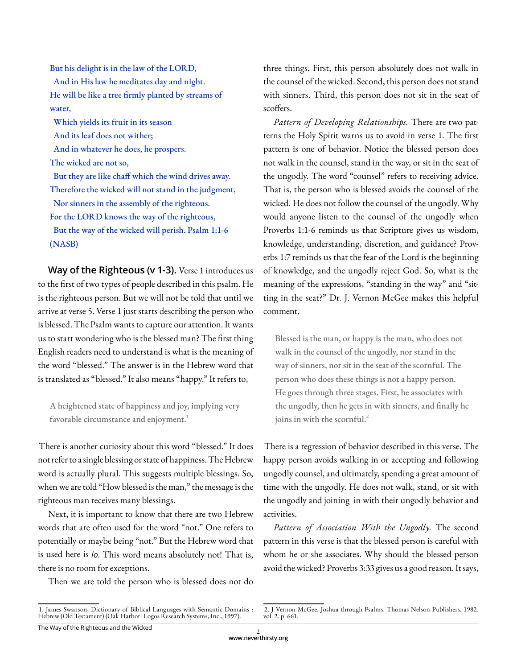But his delight is in the law of the LORD, And in His law he meditates day and night. He will be like a tree firmly planted by streams of water, Which yields its fruit in its season And its leaf does not wither;

And in whatever he does, he prospers.

The wicked are not so,

 But they are like chaff which the wind drives away. Therefore the wicked will not stand in the judgment, Nor sinners in the assembly of the righteous. For the LORD knows the way of the righteous,

 But the way of the wicked will perish. Psalm 1:1-6 (NASB)

**Way of the Righteous (v 1-3).** Verse 1 introduces us to the first of two types of people described in this psalm. He is the righteous person. But we will not be told that until we arrive at verse 5. Verse 1 just starts describing the person who is blessed. The Psalm wants to capture our attention. It wants us to start wondering who is the blessed man? The first thing English readers need to understand is what is the meaning of the word "blessed." The answer is in the Hebrew word that is translated as "blessed." It also means "happy." It refers to,

A heightened state of happiness and joy, implying very favorable circumstance and enjoyment.<sup>1</sup>

There is another curiosity about this word "blessed." It does not refer to a single blessing or state of happiness. The Hebrew word is actually plural. This suggests multiple blessings. So, when we are told "How blessed is the man," the message is the righteous man receives many blessings.

Next, it is important to know that there are two Hebrew words that are often used for the word "not." One refers to potentially or maybe being "not." But the Hebrew word that is used here is *lo*. This word means absolutely not! That is, there is no room for exceptions.

Then we are told the person who is blessed does not do

three things. First, this person absolutely does not walk in the counsel of the wicked. Second, this person does not stand with sinners. Third, this person does not sit in the seat of scoffers.

*Pattern of Developing Relationships.* There are two patterns the Holy Spirit warns us to avoid in verse 1. The first pattern is one of behavior. Notice the blessed person does not walk in the counsel, stand in the way, or sit in the seat of the ungodly. The word "counsel" refers to receiving advice. That is, the person who is blessed avoids the counsel of the wicked. He does not follow the counsel of the ungodly. Why would anyone listen to the counsel of the ungodly when Proverbs 1:1-6 reminds us that Scripture gives us wisdom, knowledge, understanding, discretion, and guidance? Proverbs 1:7 reminds us that the fear of the Lord is the beginning of knowledge, and the ungodly reject God. So, what is the meaning of the expressions, "standing in the way" and "sitting in the seat?" Dr. J. Vernon McGee makes this helpful comment,

Blessed is the man, or happy is the man, who does not walk in the counsel of the ungodly, nor stand in the way of sinners, nor sit in the seat of the scornful. The person who does these things is not a happy person. He goes through three stages. First, he associates with the ungodly, then he gets in with sinners, and finally he joins in with the scornful.<sup>2</sup>

There is a regression of behavior described in this verse. The happy person avoids walking in or accepting and following ungodly counsel, and ultimately, spending a great amount of time with the ungodly. He does not walk, stand, or sit with the ungodly and joining in with their ungodly behavior and activities.

*Pattern of Association With the Ungodly.* The second pattern in this verse is that the blessed person is careful with whom he or she associates. Why should the blessed person avoid the wicked? Proverbs 3:33 gives us a good reason. It says,

<sup>1.</sup> James Swanson, Dictionary of Biblical Languages with Semantic Domains : Hebrew (Old Testament) (Oak Harbor: Logos Research Systems, Inc., 1997).

<sup>2.</sup> J Vernon McGee. Joshua through Psalms. Thomas Nelson Publishers. 1982. vol. 2. p. 661.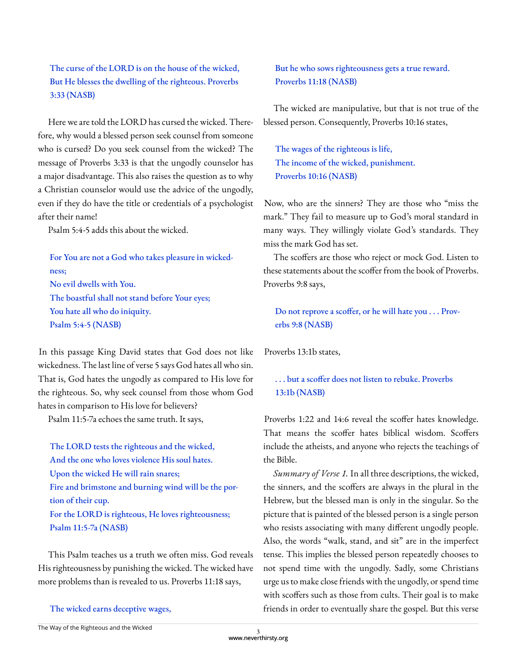## The curse of the LORD is on the house of the wicked, But He blesses the dwelling of the righteous. Proverbs 3:33 (NASB)

Here we are told the LORD has cursed the wicked. Therefore, why would a blessed person seek counsel from someone who is cursed? Do you seek counsel from the wicked? The message of Proverbs 3:33 is that the ungodly counselor has a major disadvantage. This also raises the question as to why a Christian counselor would use the advice of the ungodly, even if they do have the title or credentials of a psychologist after their name!

Psalm 5:4-5 adds this about the wicked.

For You are not a God who takes pleasure in wickedness; No evil dwells with You. The boastful shall not stand before Your eyes; You hate all who do iniquity. Psalm 5:4-5 (NASB)

In this passage King David states that God does not like wickedness. The last line of verse 5 says God hates all who sin. That is, God hates the ungodly as compared to His love for the righteous. So, why seek counsel from those whom God hates in comparison to His love for believers?

Psalm 11:5-7a echoes the same truth. It says,

The LORD tests the righteous and the wicked, And the one who loves violence His soul hates. Upon the wicked He will rain snares; Fire and brimstone and burning wind will be the portion of their cup. For the LORD is righteous, He loves righteousness; Psalm 11:5-7a (NASB)

This Psalm teaches us a truth we often miss. God reveals His righteousness by punishing the wicked. The wicked have more problems than is revealed to us. Proverbs 11:18 says,

The wicked earns deceptive wages,

## But he who sows righteousness gets a true reward. Proverbs 11:18 (NASB)

The wicked are manipulative, but that is not true of the blessed person. Consequently, Proverbs 10:16 states,

The wages of the righteous is life, The income of the wicked, punishment. Proverbs 10:16 (NASB)

Now, who are the sinners? They are those who "miss the mark." They fail to measure up to God's moral standard in many ways. They willingly violate God's standards. They miss the mark God has set.

The scoffers are those who reject or mock God. Listen to these statements about the scoffer from the book of Proverbs. Proverbs 9:8 says,

Do not reprove a scoffer, or he will hate you . . . Proverbs 9:8 (NASB)

Proverbs 13:1b states,

## ... but a scoffer does not listen to rebuke. Proverbs 13:1b (NASB)

Proverbs 1:22 and 14:6 reveal the scoffer hates knowledge. That means the scoffer hates biblical wisdom. Scoffers include the atheists, and anyone who rejects the teachings of the Bible.

*Summary of Verse 1.* In all three descriptions, the wicked, the sinners, and the scoffers are always in the plural in the Hebrew, but the blessed man is only in the singular. So the picture that is painted of the blessed person is a single person who resists associating with many different ungodly people. Also, the words "walk, stand, and sit" are in the imperfect tense. This implies the blessed person repeatedly chooses to not spend time with the ungodly. Sadly, some Christians urge us to make close friends with the ungodly, or spend time with scoffers such as those from cults. Their goal is to make friends in order to eventually share the gospel. But this verse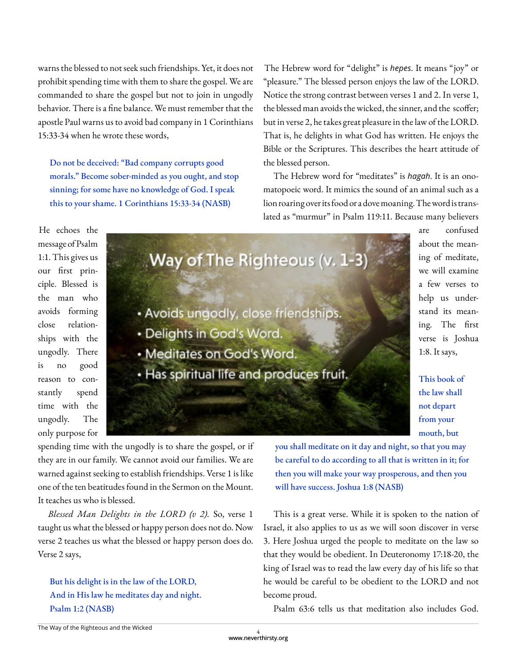warns the blessed to not seek such friendships. Yet, it does not prohibit spending time with them to share the gospel. We are commanded to share the gospel but not to join in ungodly behavior. There is a fine balance. We must remember that the apostle Paul warns us to avoid bad company in 1 Corinthians 15:33-34 when he wrote these words,

Do not be deceived: "Bad company corrupts good morals." Become sober-minded as you ought, and stop sinning; for some have no knowledge of God. I speak this to your shame. 1 Corinthians 15:33-34 (NASB)

The Hebrew word for "delight" is *hepes*. It means "joy" or "pleasure." The blessed person enjoys the law of the LORD. Notice the strong contrast between verses 1 and 2. In verse 1, the blessed man avoids the wicked, the sinner, and the scoffer; but in verse 2, he takes great pleasure in the law of the LORD. That is, he delights in what God has written. He enjoys the Bible or the Scriptures. This describes the heart attitude of the blessed person.

The Hebrew word for "meditates" is *hagah*. It is an onomatopoeic word. It mimics the sound of an animal such as a lion roaring over its food or a dove moaning. The word is translated as "murmur" in Psalm 119:11. Because many believers

> are confused about the meaning of meditate, we will examine a few verses to help us understand its meaning. The first verse is Joshua

1:8. It says,

This book of the law shall not depart from your mouth, but

He echoes the message of Psalm 1:1. This gives us our first principle. Blessed is the man who avoids forming close relationships with the ungodly. There is no good reason to constantly spend time with the ungodly. The



only purpose for spending time with the ungodly is to share the gospel, or if they are in our family. We cannot avoid our families. We are warned against seeking to establish friendships. Verse 1 is like one of the ten beatitudes found in the Sermon on the Mount. It teaches us who is blessed.

*Blessed Man Delights in the LORD (v 2).* So, verse 1 taught us what the blessed or happy person does not do. Now verse 2 teaches us what the blessed or happy person does do. Verse 2 says,

But his delight is in the law of the LORD, And in His law he meditates day and night. Psalm 1:2 (NASB)

you shall meditate on it day and night, so that you may be careful to do according to all that is written in it; for then you will make your way prosperous, and then you will have success. Joshua 1:8 (NASB)

This is a great verse. While it is spoken to the nation of Israel, it also applies to us as we will soon discover in verse 3. Here Joshua urged the people to meditate on the law so that they would be obedient. In Deuteronomy 17:18-20, the king of Israel was to read the law every day of his life so that he would be careful to be obedient to the LORD and not become proud.

Psalm 63:6 tells us that meditation also includes God.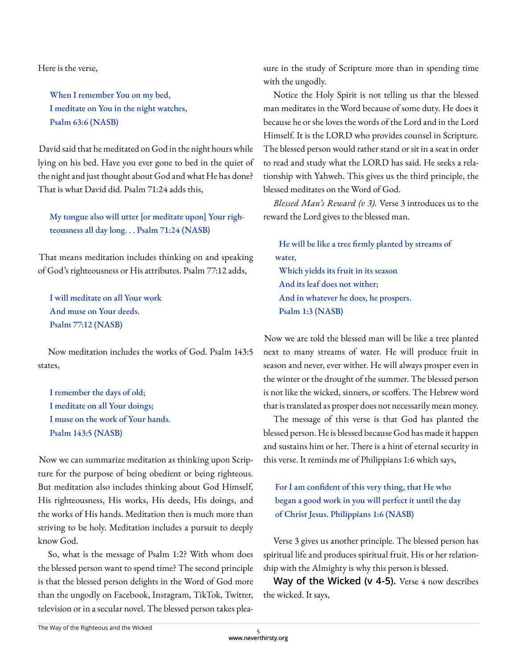Here is the verse,

When I remember You on my bed, I meditate on You in the night watches, Psalm 63:6 (NASB)

David said that he meditated on God in the night hours while lying on his bed. Have you ever gone to bed in the quiet of the night and just thought about God and what He has done? That is what David did. Psalm 71:24 adds this,

My tongue also will utter [or meditate upon] Your righteousness all day long. . . Psalm 71:24 (NASB)

That means meditation includes thinking on and speaking of God's righteousness or His attributes. Psalm 77:12 adds,

I will meditate on all Your work And muse on Your deeds. Psalm 77:12 (NASB)

Now meditation includes the works of God. Psalm 143:5 states,

I remember the days of old; I meditate on all Your doings; I muse on the work of Your hands. Psalm 143:5 (NASB)

Now we can summarize meditation as thinking upon Scripture for the purpose of being obedient or being righteous. But meditation also includes thinking about God Himself, His righteousness, His works, His deeds, His doings, and the works of His hands. Meditation then is much more than striving to be holy. Meditation includes a pursuit to deeply know God.

So, what is the message of Psalm 1:2? With whom does the blessed person want to spend time? The second principle is that the blessed person delights in the Word of God more than the ungodly on Facebook, Instagram, TikTok, Twitter, television or in a secular novel. The blessed person takes pleasure in the study of Scripture more than in spending time with the ungodly.

Notice the Holy Spirit is not telling us that the blessed man meditates in the Word because of some duty. He does it because he or she loves the words of the Lord and in the Lord Himself. It is the LORD who provides counsel in Scripture. The blessed person would rather stand or sit in a seat in order to read and study what the LORD has said. He seeks a relationship with Yahweh. This gives us the third principle, the blessed meditates on the Word of God.

*Blessed Man's Reward (v 3).* Verse 3 introduces us to the reward the Lord gives to the blessed man.

He will be like a tree firmly planted by streams of water, Which yields its fruit in its season And its leaf does not wither; And in whatever he does, he prospers. Psalm 1:3 (NASB)

Now we are told the blessed man will be like a tree planted next to many streams of water. He will produce fruit in season and never, ever wither. He will always prosper even in the winter or the drought of the summer. The blessed person is not like the wicked, sinners, or scoffers. The Hebrew word that is translated as prosper does not necessarily mean money.

The message of this verse is that God has planted the blessed person. He is blessed because God has made it happen and sustains him or her. There is a hint of eternal security in this verse. It reminds me of Philippians 1:6 which says,

For I am confident of this very thing, that He who began a good work in you will perfect it until the day of Christ Jesus. Philippians 1:6 (NASB)

Verse 3 gives us another principle. The blessed person has spiritual life and produces spiritual fruit. His or her relationship with the Almighty is why this person is blessed.

**Way of the Wicked (v 4-5).** Verse 4 now describes the wicked. It says,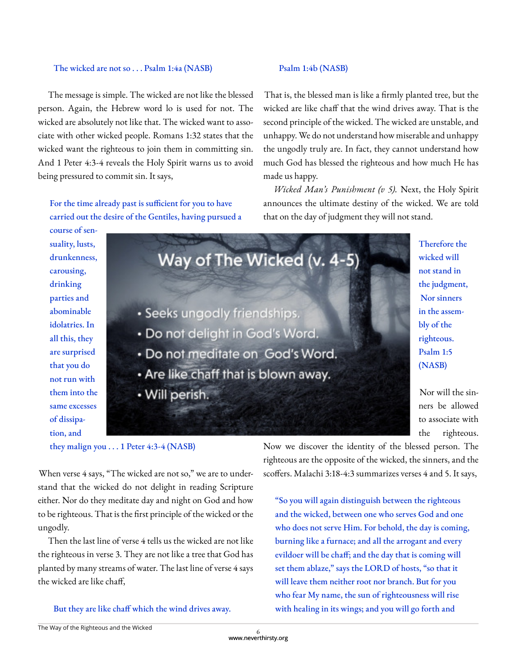#### The wicked are not so . . . Psalm 1:4a (NASB)

The message is simple. The wicked are not like the blessed person. Again, the Hebrew word lo is used for not. The wicked are absolutely not like that. The wicked want to associate with other wicked people. Romans 1:32 states that the wicked want the righteous to join them in committing sin. And 1 Peter 4:3-4 reveals the Holy Spirit warns us to avoid being pressured to commit sin. It says,

For the time already past is sufficient for you to have carried out the desire of the Gentiles, having pursued a

#### Psalm 1:4b (NASB)

That is, the blessed man is like a firmly planted tree, but the wicked are like chaff that the wind drives away. That is the second principle of the wicked. The wicked are unstable, and unhappy. We do not understand how miserable and unhappy the ungodly truly are. In fact, they cannot understand how much God has blessed the righteous and how much He has made us happy.

*Wicked Man's Punishment (v 5).* Next, the Holy Spirit announces the ultimate destiny of the wicked. We are told that on the day of judgment they will not stand.

course of sensuality, lusts, drunkenness, carousing, drinking parties and abominable idolatries. In all this, they are surprised that you do not run with them into the same excesses of dissipation, and



they malign you . . . 1 Peter 4:3-4 (NASB)

When verse 4 says, "The wicked are not so," we are to understand that the wicked do not delight in reading Scripture either. Nor do they meditate day and night on God and how to be righteous. That is the first principle of the wicked or the ungodly.

Then the last line of verse 4 tells us the wicked are not like the righteous in verse 3. They are not like a tree that God has planted by many streams of water. The last line of verse 4 says the wicked are like chaff,

But they are like chaff which the wind drives away.

Now we discover the identity of the blessed person. The righteous are the opposite of the wicked, the sinners, and the scoffers. Malachi 3:18-4:3 summarizes verses 4 and 5. It says,

"So you will again distinguish between the righteous and the wicked, between one who serves God and one who does not serve Him. For behold, the day is coming, burning like a furnace; and all the arrogant and every evildoer will be chaff; and the day that is coming will set them ablaze," says the LORD of hosts, "so that it will leave them neither root nor branch. But for you who fear My name, the sun of righteousness will rise with healing in its wings; and you will go forth and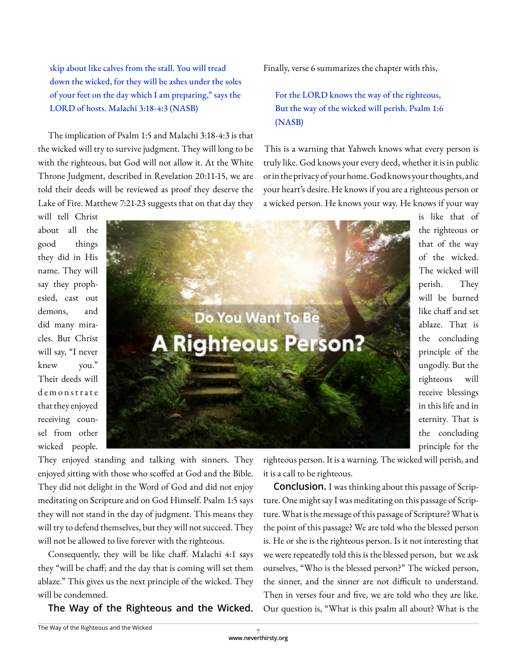skip about like calves from the stall. You will tread down the wicked, for they will be ashes under the soles of your feet on the day which I am preparing," says the LORD of hosts. Malachi 3:18-4:3 (NASB)

The implication of Psalm 1:5 and Malachi 3:18-4:3 is that the wicked will try to survive judgment. They will long to be with the righteous, but God will not allow it. At the White Throne Judgment, described in Revelation 20:11-15, we are told their deeds will be reviewed as proof they deserve the Lake of Fire. Matthew 7:21-23 suggests that on that day they

will tell Christ about all the good things they did in His name. They will say they prophesied, cast out demons, and did many miracles. But Christ will say, "I never knew you." Their deeds will d e m o n s t r a t e that they enjoyed receiving counsel from other wicked people.

They enjoyed standing and talking with sinners. They enjoyed sitting with those who scoffed at God and the Bible. They did not delight in the Word of God and did not enjoy meditating on Scripture and on God Himself. Psalm 1:5 says they will not stand in the day of judgment. This means they will try to defend themselves, but they will not succeed. They will not be allowed to live forever with the righteous.

Consequently, they will be like chaff. Malachi 4:1 says they "will be chaff; and the day that is coming will set them ablaze." This gives us the next principle of the wicked. They will be condemned.

**The Way of the Righteous and the Wicked.** 

Finally, verse 6 summarizes the chapter with this,

For the LORD knows the way of the righteous, But the way of the wicked will perish. Psalm 1:6 (NASB)

This is a warning that Yahweh knows what every person is truly like. God knows your every deed, whether it is in public or in the privacy of your home. God knows your thoughts, and your heart's desire. He knows if you are a righteous person or a wicked person. He knows your way. He knows if your way

> is like that of the righteous or that of the way of the wicked. The wicked will perish. They will be burned like chaff and set ablaze. That is the concluding principle of the ungodly. But the righteous will receive blessings in this life and in eternity. That is the concluding principle for the

righteous person. It is a warning. The wicked will perish, and it is a call to be righteous.

**Conclusion.** I was thinking about this passage of Scripture. One might say I was meditating on this passage of Scripture. What is the message of this passage of Scripture? What is the point of this passage? We are told who the blessed person is. He or she is the righteous person. Is it not interesting that we were repeatedly told this is the blessed person, but we ask ourselves, "Who is the blessed person?" The wicked person, the sinner, and the sinner are not difficult to understand. Then in verses four and five, we are told who they are like. Our question is, "What is this psalm all about? What is the

www.neverthirsty.org 7